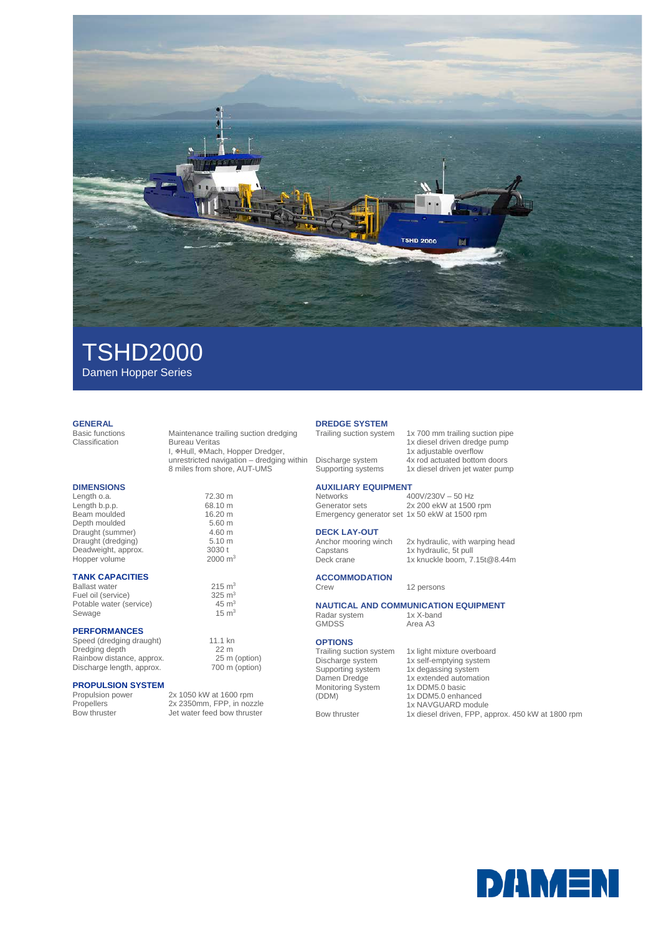

# TSHD2000

**Bureau Veritas** 

I, #Hull, #Mach, Hopper Dredger, unrestricted navigation – dredging within 8 miles from shore, AUT-UMS

Damen Hopper Series

### **GENERAL**<br>Basic functions

Basic functions Maintenance trailing suction dredging

#### **DIMENSIONS**

Length o.a. 72.30 m<br>
Length b.p.p. 68.10 m Length b.p.p.<br>
Length b.p.p. 68.10 m<br>
Beam moulded 16.20 m Beam moulded 16.20 m<br>
Depth moulded 5.60 m Depth moulded 5.60 m<br>Draught (summer) 4.60 m Draught (summer) 4.60 m<br>Draught (dredging) 5.10 m Draught (dredging) 5.10 m<br>Deadweight, approx. 3030 t Deadweight, approx. 3030 t<br>
Hopper volume 2000 m<sup>3</sup> Hopper volume

#### **TANK CAPACITIES**

Ballast water  $215 \text{ m}^3$ <br>
Fuel oil (service)  $325 \text{ m}^3$ Fuel oil (service)  $325 \text{ m}^3$ <br>Potable water (service)  $45 \text{ m}^3$ Potable water (service)  $45 \text{ m}^3$ <br>Sewage  $15 \text{ m}^3$ Sewage

#### **PERFORMANCES**

Speed (dredging draught) 11.1 kn<br>Dredging depth 22 m Dredging depth 22 m<br>
Rainbow distance, approx. 25 m (option) Rainbow distance, approx. 25 m (option)<br>Discharge length, approx. 700 m (option) Discharge length, approx.

## **PROPULSION SYSTEM**

Propulsion power 2x 1050 kW at 1600 rpm<br>Propellers 2x 2350mm, FPP, in nozi Propellers 2x 2350mm, FPP, in nozzle<br>Bow thruster Jet water feed bow thruster Jet water feed bow thruster

### **DREDGE SYSTEM**<br>Trailing suction system

1x 700 mm trailing suction pipe 1x diesel driven dredge pump 1x adjustable overflow Discharge system 4x rod actuated bottom doors<br>Supporting systems 1x diesel driven jet water pum 1x diesel driven jet water pump

### **AUXILIARY EQUIPMENT**

Networks 400V/230V – 50 Hz<br>Generator sets 2x 200 ekW at 1500 2x 200 ekW at 1500 rpm Emergency generator set 1x 50 ekW at 1500 rpm

### **DECK LAY-OUT**<br>Anchor mooring winch

Anchor mooring winch 2x hydraulic, with warping head Capstans 1x hydraulic, 5t pull Deck crane 1x knuckle boom, 7.15t@8.44m

**ACCOMMODATION** 12 persons

### **NAUTICAL AND COMMUNICATION EQUIPMENT**<br>Radar system **1x X-band**

Radar system 1x X-band GMDSS Area A3

#### **OPTIONS**

Trailing suction system 1x light mixture overboard Damen Dredge Monitoring System (DDM)

- Discharge system 1x self-emptying system Supporting system 1x degassing system 1x extended automation 1x DDM5.0 basic
	- 1x DDM5.0 enhanced
	- 1x NAVGUARD module
- Bow thruster 1x diesel driven, FPP, approx. 450 kW at 1800 rpm

**DAMEN**